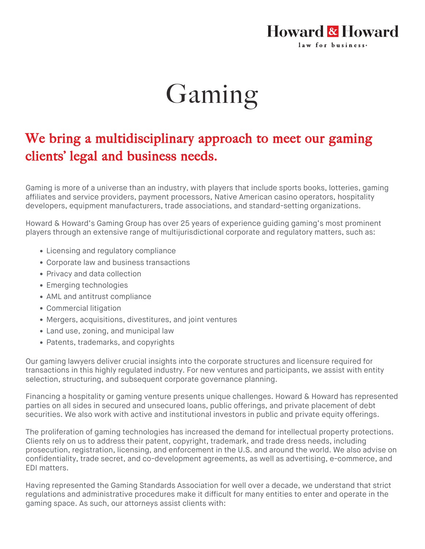## Howard & Howard law for business.

## Gaming

## We bring a multidisciplinary approach to meet our gaming clients' legal and business needs.

Gaming is more of a universe than an industry, with players that include sports books, lotteries, gaming affiliates and service providers, payment processors, Native American casino operators, hospitality developers, equipment manufacturers, trade associations, and standard-setting organizations.

Howard & Howard's Gaming Group has over 25 years of experience guiding gaming's most prominent players through an extensive range of multijurisdictional corporate and regulatory matters, such as:

- Licensing and regulatory compliance
- Corporate law and business transactions
- Privacy and data collection
- Emerging technologies
- AML and antitrust compliance
- Commercial litigation
- Mergers, acquisitions, divestitures, and joint ventures
- Land use, zoning, and municipal law
- Patents, trademarks, and copyrights

Our gaming lawyers deliver crucial insights into the corporate structures and licensure required for transactions in this highly regulated industry. For new ventures and participants, we assist with entity selection, structuring, and subsequent corporate governance planning.

Financing a hospitality or gaming venture presents unique challenges. Howard & Howard has represented parties on all sides in secured and unsecured loans, public offerings, and private placement of debt securities. We also work with active and institutional investors in public and private equity offerings.

The proliferation of gaming technologies has increased the demand for intellectual property protections. Clients rely on us to address their patent, copyright, trademark, and trade dress needs, including prosecution, registration, licensing, and enforcement in the U.S. and around the world. We also advise on confidentiality, trade secret, and co-development agreements, as well as advertising, e-commerce, and EDI matters.

Having represented the Gaming Standards Association for well over a decade, we understand that strict regulations and administrative procedures make it difficult for many entities to enter and operate in the gaming space. As such, our attorneys assist clients with: